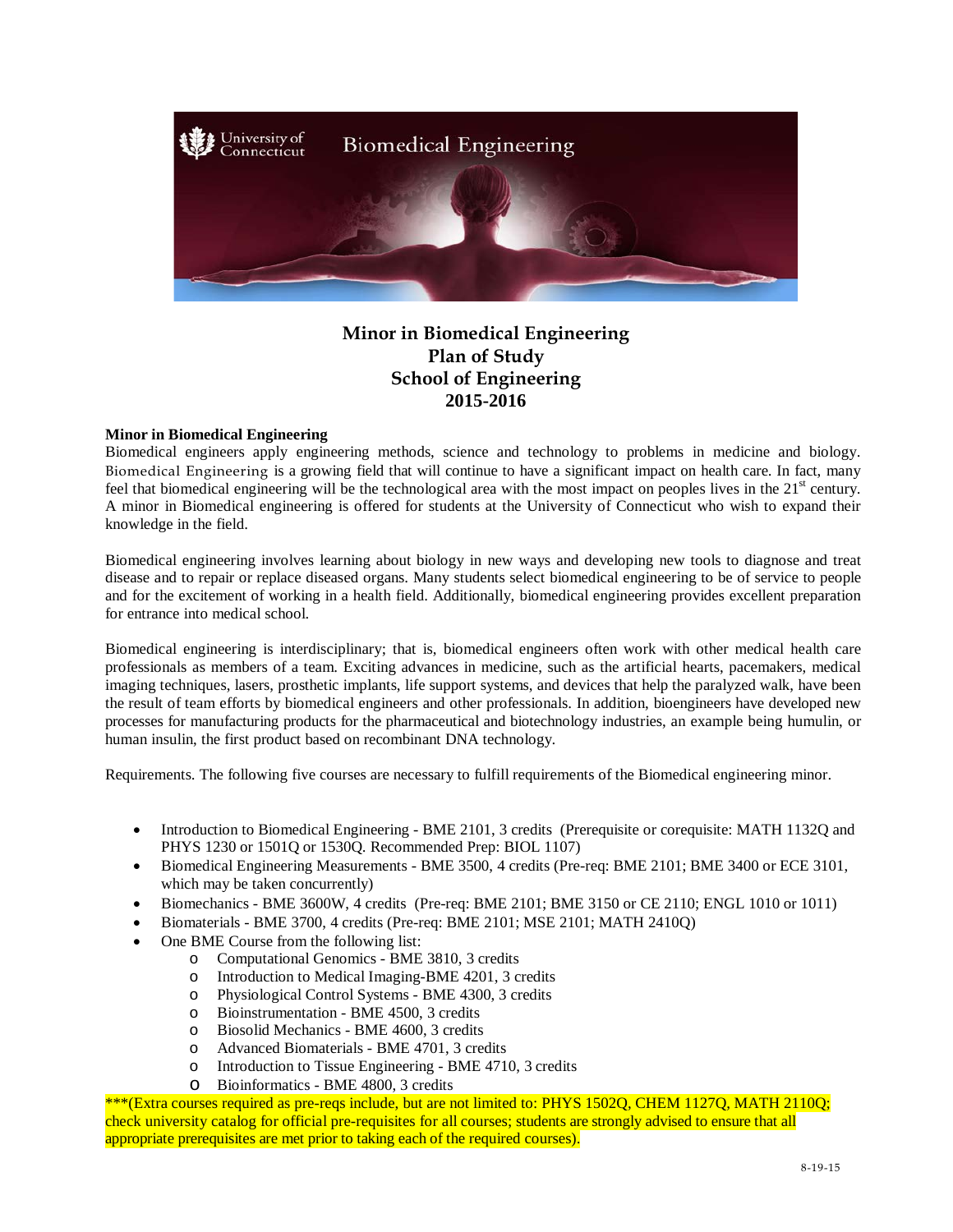

## **Minor in Biomedical Engineering Plan of Study School of Engineering 2015-2016**

## **Minor in Biomedical Engineering**

Biomedical engineers apply engineering methods, science and technology to problems in medicine and biology. Biomedical Engineering is a growing field that will continue to have a significant impact on health care. In fact, many feel that biomedical engineering will be the technological area with the most impact on peoples lives in the  $21<sup>st</sup>$  century. A minor in Biomedical engineering is offered for students at the University of Connecticut who wish to expand their knowledge in the field.

Biomedical engineering involves learning about biology in new ways and developing new tools to diagnose and treat disease and to repair or replace diseased organs. Many students select biomedical engineering to be of service to people and for the excitement of working in a health field. Additionally, biomedical engineering provides excellent preparation for entrance into medical school.

Biomedical engineering is interdisciplinary; that is, biomedical engineers often work with other medical health care professionals as members of a team. Exciting advances in medicine, such as the artificial hearts, pacemakers, medical imaging techniques, lasers, prosthetic implants, life support systems, and devices that help the paralyzed walk, have been the result of team efforts by biomedical engineers and other professionals. In addition, bioengineers have developed new processes for manufacturing products for the pharmaceutical and biotechnology industries, an example being humulin, or human insulin, the first product based on recombinant DNA technology.

Requirements. The following five courses are necessary to fulfill requirements of the Biomedical engineering minor.

- Introduction to Biomedical Engineering BME 2101, 3 credits (Prerequisite or corequisite: MATH 1132Q and PHYS 1230 or 1501Q or 1530Q. Recommended Prep: BIOL 1107)
- Biomedical Engineering Measurements BME 3500, 4 credits (Pre-req: BME 2101; BME 3400 or ECE 3101, which may be taken concurrently)
- Biomechanics BME 3600W, 4 credits (Pre-req: BME 2101; BME 3150 or CE 2110; ENGL 1010 or 1011)
- Biomaterials BME 3700, 4 credits (Pre-req: BME 2101; MSE 2101; MATH 2410Q)
- One BME Course from the following list:
	- o Computational Genomics BME 3810, 3 credits
	- o Introduction to Medical Imaging-BME 4201, 3 credits
	- Physiological Control Systems BME 4300, 3 credits
	- o Bioinstrumentation BME 4500, 3 credits
	-
	- o Biosolid Mechanics BME 4600, 3 credits o Advanced Biomaterials - BME 4701, 3 credits<br>
	o Introduction to Tissue Engineering - BME 471
	- Introduction to Tissue Engineering BME 4710, 3 credits
	- o Bioinformatics BME 4800, 3 credits

\*\*\*(Extra courses required as pre-reqs include, but are not limited to: PHYS 1502Q, CHEM 1127Q, MATH 2110Q; check university catalog for official pre-requisites for all courses; students are strongly advised to ensure that all appropriate prerequisites are met prior to taking each of the required courses).